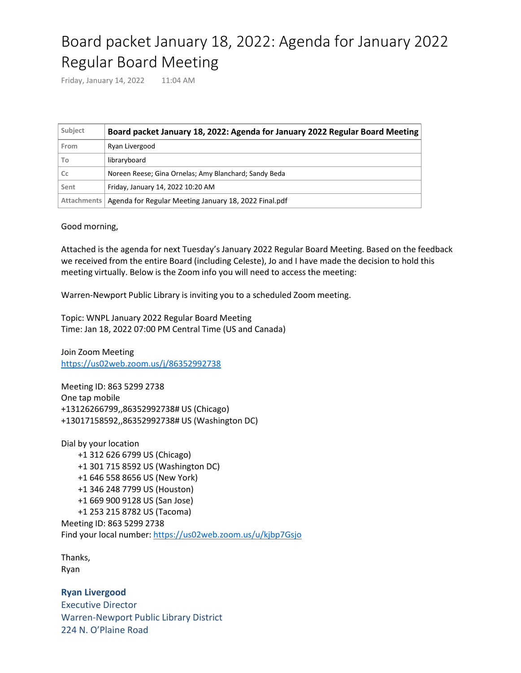## Board packet January 18, 2022: Agenda for January 2022 Regular Board Meeting

Friday, January 14, 2022 11:04 AM

| Subject | Board packet January 18, 2022: Agenda for January 2022 Regular Board Meeting |
|---------|------------------------------------------------------------------------------|
| From    | Ryan Livergood                                                               |
| To      | libraryboard                                                                 |
| Cc      | Noreen Reese; Gina Ornelas; Amy Blanchard; Sandy Beda                        |
| Sent    | Friday, January 14, 2022 10:20 AM                                            |
|         | Attachments   Agenda for Regular Meeting January 18, 2022 Final.pdf          |

Good morning,

Attached is the agenda for next Tuesday's January 2022 Regular Board Meeting. Based on the feedback we received from the entire Board (including Celeste), Jo and I have made the decision to hold this meeting virtually. Below is the Zoom info you will need to access the meeting:

Warren-Newport Public Library is inviting you to a scheduled Zoom meeting.

Topic: WNPL January 2022 Regular Board Meeting Time: Jan 18, 2022 07:00 PM Central Time (US and Canada)

Join Zoom Meeting <https://us02web.zoom.us/j/86352992738>

Meeting ID: 863 5299 2738 One tap mobile +13126266799,,86352992738# US (Chicago) +13017158592,,86352992738# US (Washington DC)

Dial by your location +1 312 626 6799 US (Chicago) +1 301 715 8592 US (Washington DC) +1 646 558 8656 US (New York) +1 346 248 7799 US (Houston) +1 669 900 9128 US (San Jose) +1 253 215 8782 US (Tacoma) Meeting ID: 863 5299 2738 Find your local number: <https://us02web.zoom.us/u/kjbp7Gsjo>

Thanks, Ryan

**Ryan Livergood** Executive Director Warren-Newport Public Library District 224 N. O'Plaine Road